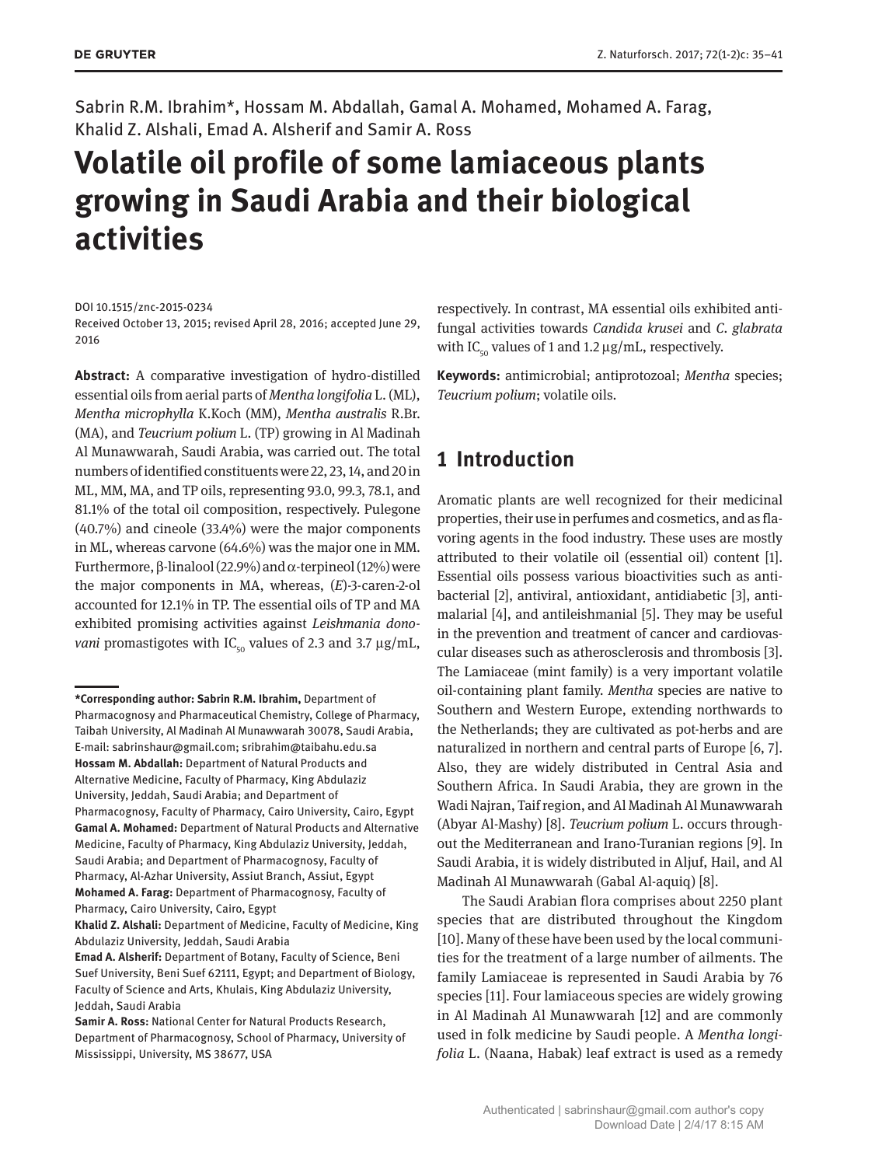Sabrin R.M. Ibrahim\*, Hossam M. Abdallah, Gamal A. Mohamed, Mohamed A. Farag, Khalid Z. Alshali, Emad A. Alsherif and Samir A. Ross

# **Volatile oil profile of some lamiaceous plants growing in Saudi Arabia and their biological activities**

Received October 13, 2015; revised April 28, 2016; accepted June 29, 2016

**Abstract:** A comparative investigation of hydro-distilled essential oils from aerial parts of *Mentha longifolia* L. (ML), *Mentha microphylla* K.Koch (MM), *Mentha australis* R.Br. (MA), and *Teucrium polium* L. (TP) growing in Al Madinah Al Munawwarah, Saudi Arabia, was carried out. The total numbers of identified constituents were 22, 23, 14, and 20 in ML, MM, MA, and TP oils, representing 93.0, 99.3, 78.1, and 81.1% of the total oil composition, respectively. Pulegone (40.7%) and cineole (33.4%) were the major components in ML, whereas carvone (64.6%) was the major one in MM. Furthermore, β-linalool (22.9%) and α-terpineol (12%) were the major components in MA, whereas, (*E*)-3-caren-2-ol accounted for 12.1% in TP. The essential oils of TP and MA exhibited promising activities against *Leishmania donovani* promastigotes with IC<sub>50</sub> values of 2.3 and 3.7  $\mu$ g/mL,

**Emad A. Alsherif:** Department of Botany, Faculty of Science, Beni Suef University, Beni Suef 62111, Egypt; and Department of Biology, Faculty of Science and Arts, Khulais, King Abdulaziz University, Jeddah, Saudi Arabia

respectively. In contrast, MA essential oils exhibited antifungal activities towards *Candida krusei* and *C. glabrata* with IC<sub>50</sub> values of 1 and 1.2  $\mu$ g/mL, respectively.

**Keywords:** antimicrobial; antiprotozoal; *Mentha* species; *Teucrium polium*; volatile oils.

## **1 Introduction**

Aromatic plants are well recognized for their medicinal properties, their use in perfumes and cosmetics, and as flavoring agents in the food industry. These uses are mostly attributed to their volatile oil (essential oil) content [1]. Essential oils possess various bioactivities such as antibacterial [2], antiviral, antioxidant, antidiabetic [3], antimalarial [4], and antileishmanial [5]. They may be useful in the prevention and treatment of cancer and cardiovascular diseases such as atherosclerosis and thrombosis [3]. The Lamiaceae (mint family) is a very important volatile oil-containing plant family. *Mentha* species are native to Southern and Western Europe, extending northwards to the Netherlands; they are cultivated as pot-herbs and are naturalized in northern and central parts of Europe [6, 7]. Also, they are widely distributed in Central Asia and Southern Africa. In Saudi Arabia, they are grown in the Wadi Najran, Taif region, and Al Madinah Al Munawwarah (Abyar Al-Mashy) [8]. *Teucrium polium* L. occurs throughout the Mediterranean and Irano-Turanian regions [9]. In Saudi Arabia, it is widely distributed in Aljuf, Hail, and Al Madinah Al Munawwarah (Gabal Al-aquiq) [8].

The Saudi Arabian flora comprises about 2250 plant species that are distributed throughout the Kingdom [10]. Many of these have been used by the local communities for the treatment of a large number of ailments. The family Lamiaceae is represented in Saudi Arabia by 76 species [11]. Four lamiaceous species are widely growing in Al Madinah Al Munawwarah [12] and are commonly used in folk medicine by Saudi people. A *Mentha longifolia* L. (Naana, Habak) leaf extract is used as a remedy

DOI 10.1515/znc-2015-0234

**<sup>\*</sup>Corresponding author: Sabrin R.M. Ibrahim,** Department of Pharmacognosy and Pharmaceutical Chemistry, College of Pharmacy, Taibah University, Al Madinah Al Munawwarah 30078, Saudi Arabia, E-mail: [sabrinshaur@gmail.com](mailto:sabrinshaur@gmail.com); [sribrahim@taibahu.edu.sa](mailto:sribrahim@taibahu.edu.sa) **Hossam M. Abdallah:** Department of Natural Products and Alternative Medicine, Faculty of Pharmacy, King Abdulaziz University, Jeddah, Saudi Arabia; and Department of Pharmacognosy, Faculty of Pharmacy, Cairo University, Cairo, Egypt **Gamal A. Mohamed:** Department of Natural Products and Alternative Medicine, Faculty of Pharmacy, King Abdulaziz University, Jeddah, Saudi Arabia; and Department of Pharmacognosy, Faculty of Pharmacy, Al-Azhar University, Assiut Branch, Assiut, Egypt **Mohamed A. Farag:** Department of Pharmacognosy, Faculty of Pharmacy, Cairo University, Cairo, Egypt

**Khalid Z. Alshali:** Department of Medicine, Faculty of Medicine, King Abdulaziz University, Jeddah, Saudi Arabia

**Samir A. Ross:** National Center for Natural Products Research, Department of Pharmacognosy, School of Pharmacy, University of Mississippi, University, MS 38677, USA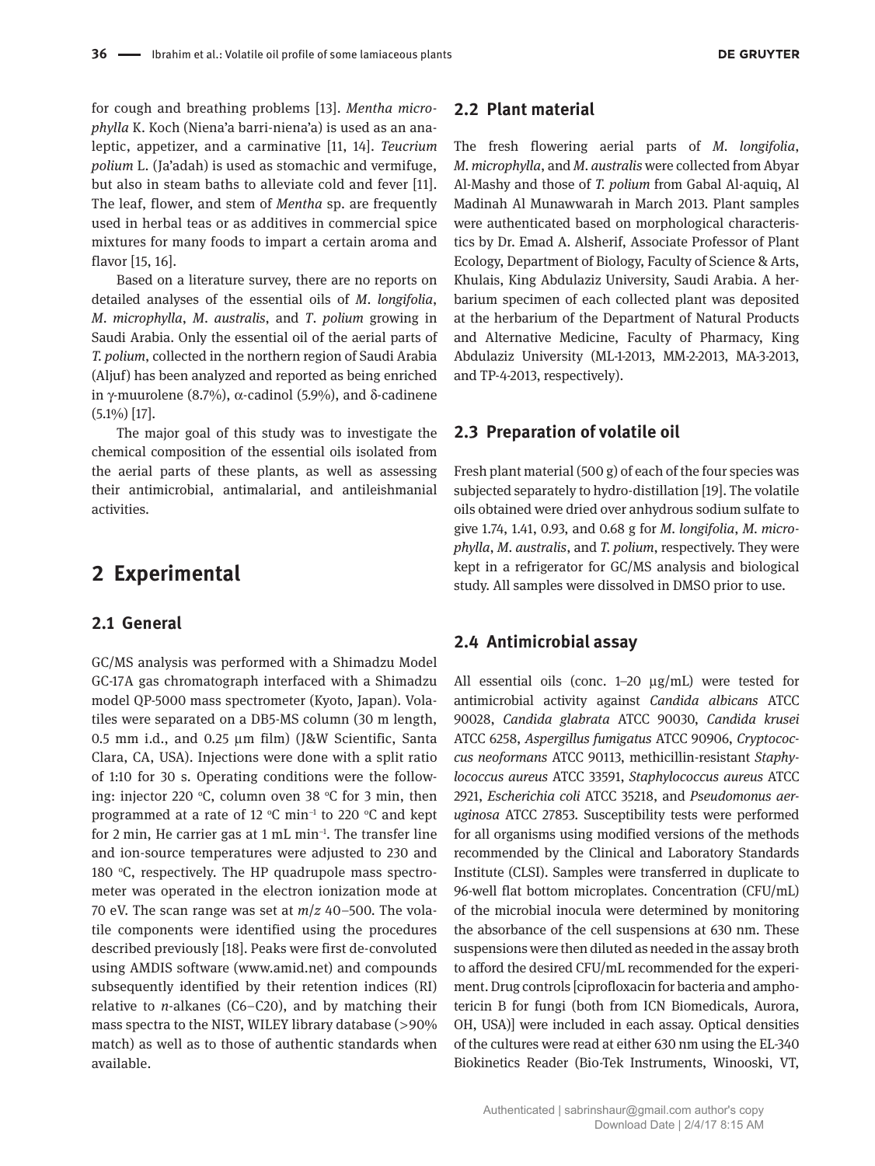for cough and breathing problems [13]. *Mentha microphylla* K. Koch (Niena'a barri-niena'a) is used as an analeptic, appetizer, and a carminative [11, 14]. *Teucrium polium* L. (Ja'adah) is used as stomachic and vermifuge, but also in steam baths to alleviate cold and fever [11]. The leaf, flower, and stem of *Mentha* sp. are frequently used in herbal teas or as additives in commercial spice mixtures for many foods to impart a certain aroma and flavor [15, 16].

Based on a literature survey, there are no reports on detailed analyses of the essential oils of *M*. *longifolia*, *M*. *microphylla*, *M*. *australis*, and *T*. *polium* growing in Saudi Arabia. Only the essential oil of the aerial parts of *T. polium*, collected in the northern region of Saudi Arabia (Aljuf) has been analyzed and reported as being enriched in γ-muurolene (8.7%),  $\alpha$ -cadinol (5.9%), and δ-cadinene (5.1%) [17].

The major goal of this study was to investigate the chemical composition of the essential oils isolated from the aerial parts of these plants, as well as assessing their antimicrobial, antimalarial, and antileishmanial activities.

## **2 Experimental**

#### **2.1 General**

GC/MS analysis was performed with a Shimadzu Model GC-17A gas chromatograph interfaced with a Shimadzu model QP-5000 mass spectrometer (Kyoto, Japan). Volatiles were separated on a DB5-MS column (30 m length, 0.5 mm i.d., and 0.25 μm film) (J&W Scientific, Santa Clara, CA, USA). Injections were done with a split ratio of 1:10 for 30 s. Operating conditions were the following: injector 220 °C, column oven 38 °C for 3 min, then programmed at a rate of 12 °C min<sup>-1</sup> to 220 °C and kept for 2 min, He carrier gas at 1 mL min−1. The transfer line and ion-source temperatures were adjusted to 230 and 180  $°C$ , respectively. The HP quadrupole mass spectrometer was operated in the electron ionization mode at 70 eV. The scan range was set at *m*/*z* 40–500. The volatile components were identified using the procedures described previously [18]. Peaks were first de-convoluted using AMDIS software [\(www.amid.net\)](www.amid.net)) and compounds subsequently identified by their retention indices (RI) relative to *n*-alkanes (C6–C20), and by matching their mass spectra to the NIST, WILEY library database (>90% match) as well as to those of authentic standards when available.

#### **2.2 Plant material**

The fresh flowering aerial parts of *M. longifolia*, *M. microphylla*, and *M. australis* were collected from Abyar Al-Mashy and those of *T. polium* from Gabal Al-aquiq, Al Madinah Al Munawwarah in March 2013. Plant samples were authenticated based on morphological characteristics by Dr. Emad A. Alsherif, Associate Professor of Plant Ecology, Department of Biology, Faculty of Science & Arts, Khulais, King Abdulaziz University, Saudi Arabia. A herbarium specimen of each collected plant was deposited at the herbarium of the Department of Natural Products and Alternative Medicine, Faculty of Pharmacy, King Abdulaziz University (ML-1-2013, MM-2-2013, MA-3-2013, and TP-4-2013, respectively).

#### **2.3 Preparation of volatile oil**

Fresh plant material (500 g) of each of the four species was subjected separately to hydro-distillation [19]. The volatile oils obtained were dried over anhydrous sodium sulfate to give 1.74, 1.41, 0.93, and 0.68 g for *M. longifolia*, *M. microphylla*, *M. australis*, and *T. polium*, respectively. They were kept in a refrigerator for GC/MS analysis and biological study. All samples were dissolved in DMSO prior to use.

#### **2.4 Antimicrobial assay**

All essential oils (conc. 1–20 μg/mL) were tested for antimicrobial activity against *Candida albicans* ATCC 90028, *Candida glabrata* ATCC 90030, *Candida krusei* ATCC 6258, *Aspergillus fumigatus* ATCC 90906, *Cryptococcus neoformans* ATCC 90113, methicillin-resistant *Staphylococcus aureus* ATCC 33591, *Staphylococcus aureus* ATCC 2921, *Escherichia coli* ATCC 35218, and *Pseudomonus aeruginosa* ATCC 27853. Susceptibility tests were performed for all organisms using modified versions of the methods recommended by the Clinical and Laboratory Standards Institute (CLSI). Samples were transferred in duplicate to 96-well flat bottom microplates. Concentration (CFU/mL) of the microbial inocula were determined by monitoring the absorbance of the cell suspensions at 630 nm. These suspensions were then diluted as needed in the assay broth to afford the desired CFU/mL recommended for the experiment. Drug controls [ciprofloxacin for bacteria and amphotericin B for fungi (both from ICN Biomedicals, Aurora, OH, USA)] were included in each assay. Optical densities of the cultures were read at either 630 nm using the EL-340 Biokinetics Reader (Bio-Tek Instruments, Winooski, VT,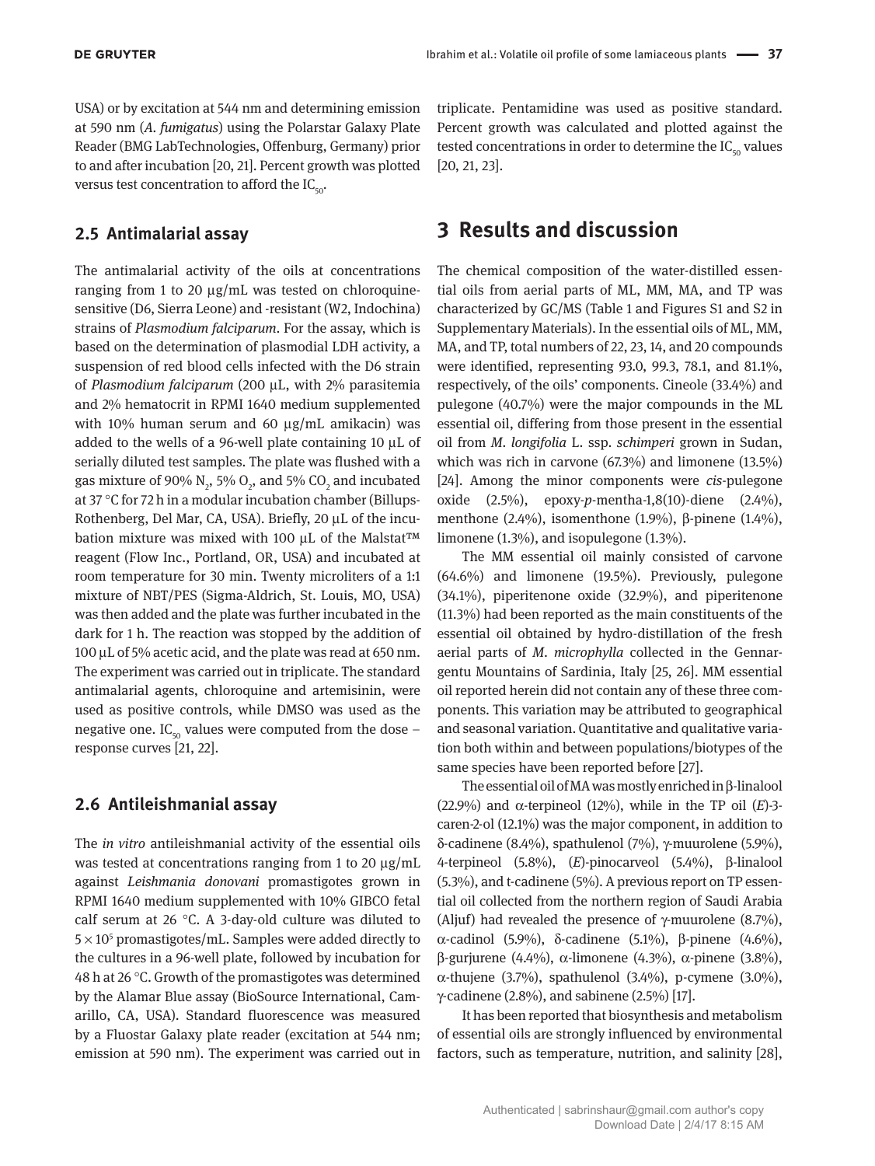USA) or by excitation at 544 nm and determining emission at 590 nm (*A. fumigatus*) using the Polarstar Galaxy Plate Reader (BMG LabTechnologies, Offenburg, Germany) prior to and after incubation [20, 21]. Percent growth was plotted versus test concentration to afford the  $IC_{\text{tot}}$ .

#### **2.5 Antimalarial assay**

The antimalarial activity of the oils at concentrations ranging from 1 to 20 μg/mL was tested on chloroquinesensitive (D6, Sierra Leone) and -resistant (W2, Indochina) strains of *Plasmodium falciparum*. For the assay, which is based on the determination of plasmodial LDH activity, a suspension of red blood cells infected with the D6 strain of *Plasmodium falciparum* (200 μL, with 2% parasitemia and 2% hematocrit in RPMI 1640 medium supplemented with 10% human serum and 60 μg/mL amikacin) was added to the wells of a 96-well plate containing 10 μL of serially diluted test samples. The plate was flushed with a gas mixture of 90%  $\text{N}_2$ , 5%  $\text{O}_2$ , and 5% CO<sub>2</sub> and incubated at 37 °C for 72 h in a modular incubation chamber (Billups-Rothenberg, Del Mar, CA, USA). Briefly, 20 μL of the incubation mixture was mixed with 100 μL of the Malstat™ reagent (Flow Inc., Portland, OR, USA) and incubated at room temperature for 30 min. Twenty microliters of a 1:1 mixture of NBT/PES (Sigma-Aldrich, St. Louis, MO, USA) was then added and the plate was further incubated in the dark for 1 h. The reaction was stopped by the addition of 100 μL of 5% acetic acid, and the plate was read at 650 nm. The experiment was carried out in triplicate. The standard antimalarial agents, chloroquine and artemisinin, were used as positive controls, while DMSO was used as the negative one. IC<sub>50</sub> values were computed from the dose – response curves [21, 22].

### **2.6 Antileishmanial assay**

The *in vitro* antileishmanial activity of the essential oils was tested at concentrations ranging from 1 to 20 μg/mL against *Leishmania donovani* promastigotes grown in RPMI 1640 medium supplemented with 10% GIBCO fetal calf serum at 26 °C. A 3-day-old culture was diluted to  $5 \times 10^5$  promastigotes/mL. Samples were added directly to the cultures in a 96-well plate, followed by incubation for 48 h at 26 °C. Growth of the promastigotes was determined by the Alamar Blue assay (BioSource International, Camarillo, CA, USA). Standard fluorescence was measured by a Fluostar Galaxy plate reader (excitation at 544 nm; emission at 590 nm). The experiment was carried out in

triplicate. Pentamidine was used as positive standard. Percent growth was calculated and plotted against the tested concentrations in order to determine the  $IC_{50}$  values [20, 21, 23].

## **3 Results and discussion**

The chemical composition of the water-distilled essential oils from aerial parts of ML, MM, MA, and TP was characterized by GC/MS (Table 1 and Figures S1 and S2 in Supplementary Materials). In the essential oils of ML, MM, MA, and TP, total numbers of 22, 23, 14, and 20 compounds were identified, representing 93.0, 99.3, 78.1, and 81.1%, respectively, of the oils' components. Cineole (33.4%) and pulegone (40.7%) were the major compounds in the ML essential oil, differing from those present in the essential oil from *M. longifolia* L. ssp. *schimperi* grown in Sudan, which was rich in carvone (67.3%) and limonene (13.5%) [24]. Among the minor components were *cis*-pulegone oxide (2.5%), epoxy-*p*-mentha-1,8(10)-diene (2.4%), menthone (2.4%), isomenthone (1.9%), β-pinene (1.4%), limonene (1.3%), and isopulegone (1.3%).

The MM essential oil mainly consisted of carvone (64.6%) and limonene (19.5%). Previously, pulegone (34.1%), piperitenone oxide (32.9%), and piperitenone (11.3%) had been reported as the main constituents of the essential oil obtained by hydro-distillation of the fresh aerial parts of *M*. *microphylla* collected in the Gennargentu Mountains of Sardinia, Italy [25, 26]. MM essential oil reported herein did not contain any of these three components. This variation may be attributed to geographical and seasonal variation. Quantitative and qualitative variation both within and between populations/biotypes of the same species have been reported before [27].

The essential oil of MA was mostly enriched in β-linalool (22.9%) and α-terpineol (12%), while in the TP oil (*E*)-3 caren-2-ol (12.1%) was the major component, in addition to δ-cadinene (8.4%), spathulenol (7%), γ-muurolene (5.9%), 4-terpineol (5.8%), (*E*)-pinocarveol (5.4%), β-linalool (5.3%), and t-cadinene (5%). A previous report on TP essential oil collected from the northern region of Saudi Arabia (Aljuf) had revealed the presence of  $\gamma$ -muurolene (8.7%), α-cadinol (5.9%), δ-cadinene (5.1%), β-pinene (4.6%), β-gurjurene (4.4%), α-limonene (4.3%), α-pinene (3.8%), α-thujene (3.7%), spathulenol (3.4%), p-cymene (3.0%), γ-cadinene (2.8%), and sabinene (2.5%) [17].

It has been reported that biosynthesis and metabolism of essential oils are strongly influenced by environmental factors, such as temperature, nutrition, and salinity [28],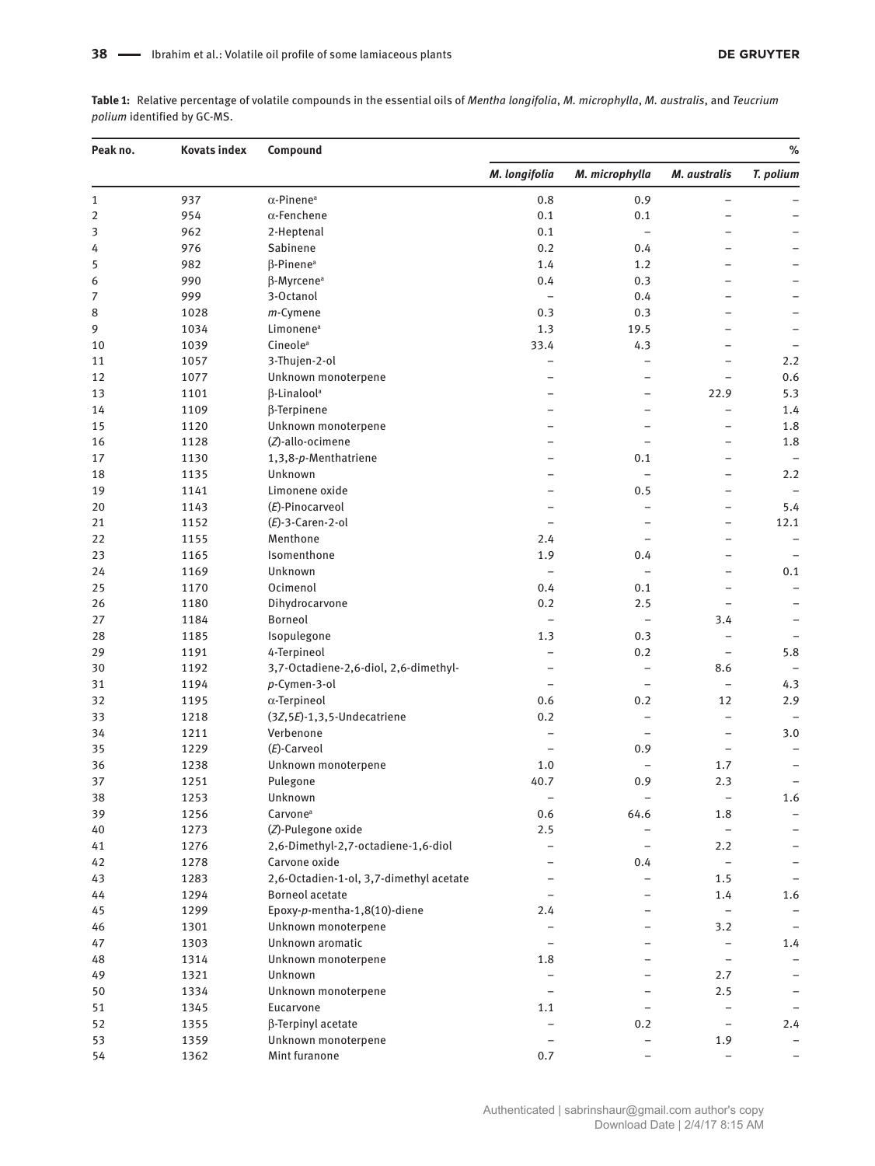**Table 1:** Relative percentage of volatile compounds in the essential oils of *Mentha longifolia*, *M. microphylla*, *M. australis*, and *Teucrium polium* identified by GC-MS.

| Peak no.    | <b>Kovats index</b> | Compound                                | $\%$                     |                          |                          |                          |
|-------------|---------------------|-----------------------------------------|--------------------------|--------------------------|--------------------------|--------------------------|
|             |                     |                                         | M. longifolia            | M. microphylla           | M. australis             | T. polium                |
| $\mathbf 1$ | 937                 | $\alpha$ -Pinene <sup>a</sup>           | 0.8                      | 0.9                      | $\qquad \qquad -$        |                          |
| $\mathbf 2$ | 954                 | $\alpha$ -Fenchene                      | 0.1                      | 0.1                      | -                        |                          |
| 3           | 962                 | 2-Heptenal                              | 0.1                      | $\overline{\phantom{0}}$ | L.                       | -                        |
| 4           | 976                 | Sabinene                                | 0.2                      | 0.4                      | -                        | -                        |
| 5           | 982                 | β-Pinene <sup>a</sup>                   | 1.4                      | 1.2                      | $\overline{a}$           | -                        |
| 6           | 990                 | $\beta$ -Myrcene <sup>a</sup>           | 0.4                      | 0.3                      | $\overline{a}$           |                          |
| 7           | 999                 | 3-Octanol                               | $\overline{\phantom{a}}$ | 0.4                      | -                        |                          |
| 8           | 1028                | m-Cymene                                | 0.3                      | 0.3                      | $\overline{\phantom{0}}$ | $\overline{a}$           |
| 9           | 1034                | Limonene <sup>a</sup>                   | 1.3                      | 19.5                     | -                        | -                        |
| 10          | 1039                | Cineole <sup>a</sup>                    | 33.4                     | 4.3                      | $\overline{\phantom{0}}$ | $\overline{\phantom{0}}$ |
| 11          | 1057                | 3-Thujen-2-ol                           | $\qquad \qquad -$        | $\overline{\phantom{0}}$ | $\qquad \qquad -$        | 2.2                      |
| 12          | 1077                | Unknown monoterpene                     |                          | -                        | $\qquad \qquad -$        | 0.6                      |
| 13          | 1101                | β-Linalool <sup>a</sup>                 |                          | $\overline{\phantom{0}}$ | 22.9                     | 5.3                      |
| 14          | 1109                | $\beta$ -Terpinene                      |                          | L,                       | $\qquad \qquad -$        | 1.4                      |
| 15          | 1120                | Unknown monoterpene                     |                          | ۳                        | $\overline{a}$           | 1.8                      |
| 16          | 1128                | (Z)-allo-ocimene                        |                          | -                        | -                        | 1.8                      |
| 17          | 1130                | 1,3,8-p-Menthatriene                    |                          | 0.1                      | $\overline{\phantom{a}}$ | $\qquad \qquad -$        |
|             | 1135                | Unknown                                 | $\equiv$                 | $\overline{\phantom{0}}$ | $\overline{\phantom{0}}$ | 2.2                      |
| 18<br>19    | 1141                | Limonene oxide                          |                          | 0.5                      | -                        | ۳                        |
|             |                     |                                         |                          |                          |                          |                          |
| 20          | 1143                | (E)-Pinocarveol                         | $\overline{\phantom{0}}$ | $\overline{\phantom{0}}$ | $\qquad \qquad -$        | 5.4                      |
| 21          | 1152                | $(E)$ -3-Caren-2-ol                     | $\qquad \qquad -$        | -                        | $\qquad \qquad -$        | 12.1                     |
| 22          | 1155                | Menthone                                | 2.4                      | $\overline{\phantom{0}}$ | $\overline{\phantom{0}}$ | $\qquad \qquad -$        |
| 23          | 1165                | Isomenthone                             | 1.9                      | 0.4                      | $\qquad \qquad -$        | $\qquad \qquad -$        |
| 24          | 1169                | Unknown                                 | ÷                        | $\qquad \qquad -$        | -                        | 0.1                      |
| 25          | 1170                | Ocimenol                                | 0.4                      | 0.1                      | $\overline{\phantom{0}}$ | $\qquad \qquad -$        |
| 26          | 1180                | Dihydrocarvone                          | 0.2                      | 2.5                      | $\overline{\phantom{0}}$ |                          |
| 27          | 1184                | Borneol                                 | $\qquad \qquad -$        | $\qquad \qquad -$        | 3.4                      |                          |
| 28          | 1185                | Isopulegone                             | 1.3                      | 0.3                      | $\qquad \qquad -$        |                          |
| 29          | 1191                | 4-Terpineol                             | $\overline{\phantom{0}}$ | 0.2                      | $\qquad \qquad -$        | 5.8                      |
| 30          | 1192                | 3,7-Octadiene-2,6-diol, 2,6-dimethyl-   | $\overline{\phantom{0}}$ | $\qquad \qquad -$        | 8.6                      |                          |
| 31          | 1194                | p-Cymen-3-ol                            | $\qquad \qquad -$        | $\qquad \qquad -$        | $\overline{\phantom{m}}$ | 4.3                      |
| 32          | 1195                | $\alpha$ -Terpineol                     | 0.6                      | 0.2                      | 12                       | 2.9                      |
| 33          | 1218                | $(3Z, 5E) - 1, 3, 5$ -Undecatriene      | 0.2                      | $\overline{\phantom{0}}$ | $\overline{\phantom{a}}$ |                          |
| 34          | 1211                | Verbenone                               | $\qquad \qquad -$        | $\qquad \qquad -$        | $\overline{\phantom{m}}$ | 3.0                      |
| 35          | 1229                | $(E)$ -Carveol                          | $\qquad \qquad -$        | 0.9                      | $\overline{\phantom{a}}$ | $\overline{a}$           |
| 36          | 1238                | Unknown monoterpene                     | 1.0                      |                          | 1.7                      |                          |
| 37          | 1251                | Pulegone                                | 40.7                     | 0.9                      | 2.3                      |                          |
| 38          | 1253                | Unknown                                 |                          |                          |                          | 1.6                      |
| 39          | 1256                | Carvone <sup>a</sup>                    | 0.6                      | 64.6                     | 1.8                      | $\qquad \qquad -$        |
| 40          | 1273                | (Z)-Pulegone oxide                      | 2.5                      |                          | $\overline{\phantom{a}}$ | $\qquad \qquad -$        |
| 41          | 1276                | 2,6-Dimethyl-2,7-octadiene-1,6-diol     |                          | $\overline{\phantom{0}}$ | 2.2                      | -                        |
| 42          | 1278                | Carvone oxide                           |                          | 0.4                      |                          |                          |
| 43          | 1283                | 2,6-Octadien-1-ol, 3,7-dimethyl acetate |                          |                          | 1.5                      |                          |
| 44          | 1294                | <b>Borneol acetate</b>                  |                          |                          | 1.4                      | 1.6                      |
| 45          | 1299                | Epoxy-p-mentha-1,8(10)-diene            | 2.4                      |                          | $\qquad \qquad -$        |                          |
| 46          | 1301                | Unknown monoterpene                     |                          |                          | 3.2                      |                          |
| 47          | 1303                | Unknown aromatic                        |                          |                          |                          | 1.4                      |
| 48          | 1314                | Unknown monoterpene                     | 1.8                      |                          | $\overline{\phantom{a}}$ |                          |
| 49          | 1321                | Unknown                                 |                          |                          | 2.7                      |                          |
| 50          | 1334                | Unknown monoterpene                     |                          |                          | 2.5                      | $\overline{\phantom{m}}$ |
| 51          | 1345                | Eucarvone                               | 1.1                      |                          | $\overline{\phantom{0}}$ |                          |
| 52          | 1355                | β-Terpinyl acetate                      | $\qquad \qquad -$        | 0.2                      | $\overline{\phantom{a}}$ | 2.4                      |
| 53          | 1359                | Unknown monoterpene                     | $\overline{\phantom{0}}$ |                          | 1.9                      |                          |
| 54          | 1362                | Mint furanone                           | 0.7                      |                          |                          |                          |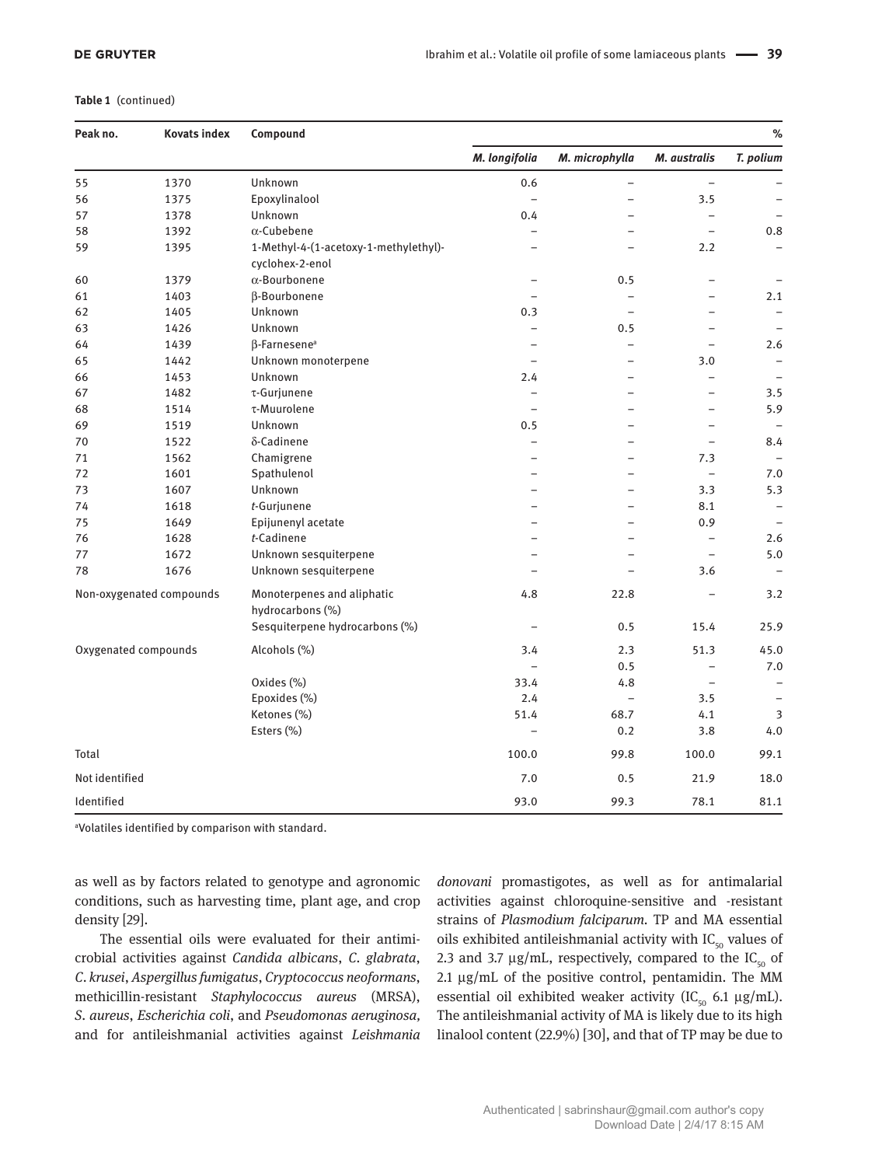#### **Table 1** (continued)

| Peak no.             | <b>Kovats index</b>      | Compound                                                 |                          |                          |                          | $\%$                     |
|----------------------|--------------------------|----------------------------------------------------------|--------------------------|--------------------------|--------------------------|--------------------------|
|                      |                          |                                                          | M. longifolia            | M. microphylla           | M. australis             | T. polium                |
| 55                   | 1370                     | Unknown                                                  | 0.6                      | $\qquad \qquad -$        | $\overline{a}$           |                          |
| 56                   | 1375                     | Epoxylinalool                                            | $\overline{\phantom{a}}$ | $\overline{\phantom{0}}$ | 3.5                      | $\overline{a}$           |
| 57                   | 1378                     | Unknown                                                  | 0.4                      |                          | $\equiv$                 |                          |
| 58                   | 1392                     | $\alpha$ -Cubebene                                       | $\overline{\phantom{0}}$ |                          | $\overline{\phantom{a}}$ | $0.8\,$                  |
| 59                   | 1395                     | 1-Methyl-4-(1-acetoxy-1-methylethyl)-<br>cyclohex-2-enol | $\overline{a}$           | $\overline{a}$           | 2.2                      | $\overline{\phantom{0}}$ |
| 60                   | 1379                     | $\alpha$ -Bourbonene                                     | $\overline{\phantom{0}}$ | 0.5                      | $\equiv$                 |                          |
| 61                   | 1403                     | β-Bourbonene                                             |                          | $\overline{\phantom{0}}$ | $\overline{\phantom{0}}$ | 2.1                      |
| 62                   | 1405                     | Unknown                                                  | 0.3                      | $\overline{a}$           | $\qquad \qquad -$        | $\overline{\phantom{0}}$ |
| 63                   | 1426                     | Unknown                                                  | $\qquad \qquad -$        | 0.5                      | $\qquad \qquad -$        |                          |
| 64                   | 1439                     | β-Farnesene <sup>a</sup>                                 |                          | $\qquad \qquad -$        | $\overline{\phantom{0}}$ | 2.6                      |
| 65                   | 1442                     | Unknown monoterpene                                      | $\qquad \qquad -$        | $\overline{\phantom{0}}$ | 3.0                      | $\overline{\phantom{0}}$ |
| 66                   | 1453                     | Unknown                                                  | 2.4                      | $\overline{\phantom{0}}$ | $\qquad \qquad -$        | $\overline{\phantom{0}}$ |
| 67                   | 1482                     | $\tau$ -Gurjunene                                        | $\overline{\phantom{0}}$ | $\overline{\phantom{0}}$ | $\overline{\phantom{0}}$ | 3.5                      |
| 68                   | 1514                     | $\tau$ -Muurolene                                        | $\overline{\phantom{0}}$ | $\overline{\phantom{0}}$ | $\qquad \qquad -$        | 5.9                      |
| 69                   | 1519                     | Unknown                                                  | 0.5                      |                          | $\overline{\phantom{0}}$ |                          |
| 70                   | 1522                     | δ-Cadinene                                               | $\overline{\phantom{0}}$ | $\overline{\phantom{0}}$ | $\qquad \qquad -$        | 8.4                      |
| 71                   | 1562                     | Chamigrene                                               | L.                       | $\equiv$                 | 7.3                      |                          |
| 72                   | 1601                     | Spathulenol                                              |                          |                          | $\qquad \qquad -$        | 7.0                      |
| 73                   | 1607                     | Unknown                                                  |                          |                          | 3.3                      | 5.3                      |
| 74                   | 1618                     | t-Gurjunene                                              | -                        | $\overline{\phantom{0}}$ | 8.1                      | $\qquad \qquad -$        |
| 75                   | 1649                     | Epijunenyl acetate                                       |                          | ÷                        | 0.9                      |                          |
| 76                   | 1628                     | t-Cadinene                                               |                          |                          |                          | 2.6                      |
| 77                   | 1672                     | Unknown sesquiterpene                                    |                          |                          | $\equiv$                 | 5.0                      |
| 78                   | 1676                     | Unknown sesquiterpene                                    |                          |                          | 3.6                      | ÷                        |
|                      | Non-oxygenated compounds | Monoterpenes and aliphatic<br>hydrocarbons (%)           | 4.8                      | 22.8                     | $\overline{a}$           | 3.2                      |
|                      |                          | Sesquiterpene hydrocarbons (%)                           | $\overline{\phantom{m}}$ | 0.5                      | 15.4                     | 25.9                     |
| Oxygenated compounds |                          | Alcohols (%)                                             | 3.4                      | 2.3                      | 51.3                     | 45.0                     |
|                      |                          |                                                          | $\equiv$                 | 0.5                      | $\overline{\phantom{0}}$ | 7.0                      |
|                      |                          | Oxides (%)                                               | 33.4                     | 4.8                      | $\overline{\phantom{0}}$ | $\qquad \qquad -$        |
|                      |                          | Epoxides (%)                                             | 2.4                      | $\overline{\phantom{0}}$ | 3.5                      |                          |
|                      |                          | Ketones (%)                                              | 51.4                     | 68.7                     | 4.1                      | 3                        |
|                      |                          | Esters (%)                                               | $\overline{\phantom{0}}$ | 0.2                      | 3.8                      | 4.0                      |
| Total                |                          |                                                          | 100.0                    | 99.8                     | 100.0                    | 99.1                     |
| Not identified       |                          |                                                          | 7.0                      | 0.5                      | 21.9                     | 18.0                     |
| Identified           |                          |                                                          | 93.0                     | 99.3                     | 78.1                     | 81.1                     |

a Volatiles identified by comparison with standard.

as well as by factors related to genotype and agronomic conditions, such as harvesting time, plant age, and crop density [29].

The essential oils were evaluated for their antimicrobial activities against *Candida albicans*, *C*. *glabrata*, *C*. *krusei*, *Aspergillus fumigatus*, *Cryptococcus neoformans*, methicillin-resistant *Staphylococcus aureus* (MRSA), *S*. *aureus*, *Escherichia coli*, and *Pseudomonas aeruginosa,* and for antileishmanial activities against *Leishmania*  *donovani* promastigotes, as well as for antimalarial activities against chloroquine-sensitive and -resistant strains of *Plasmodium falciparum.* TP and MA essential oils exhibited antileishmanial activity with  $IC_{50}$  values of 2.3 and 3.7  $\mu$ g/mL, respectively, compared to the IC<sub>50</sub> of 2.1 μg/mL of the positive control, pentamidin. The MM essential oil exhibited weaker activity (IC<sub>50</sub> 6.1  $\mu$ g/mL). The antileishmanial activity of MA is likely due to its high linalool content (22.9%) [30], and that of TP may be due to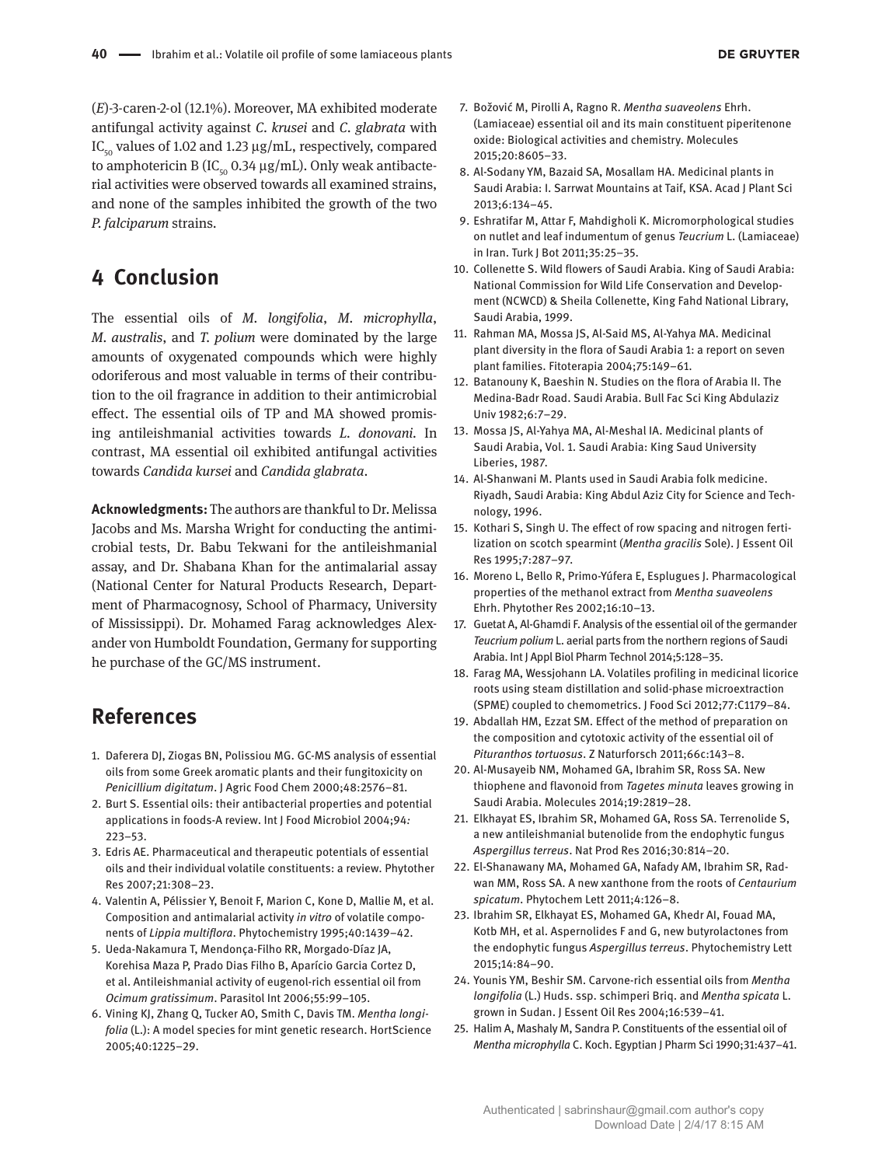(*E*)-3-caren-2-ol (12.1%). Moreover, MA exhibited moderate antifungal activity against *C*. *krusei* and *C*. *glabrata* with IC<sub>50</sub> values of 1.02 and 1.23 μg/mL, respectively, compared to amphotericin B (IC<sub>50</sub> 0.34 μg/mL). Only weak antibacterial activities were observed towards all examined strains, and none of the samples inhibited the growth of the two *P. falciparum* strains.

## **4 Conclusion**

The essential oils of *M. longifolia*, *M. microphylla*, *M. australis*, and *T. polium* were dominated by the large amounts of oxygenated compounds which were highly odoriferous and most valuable in terms of their contribution to the oil fragrance in addition to their antimicrobial effect. The essential oils of TP and MA showed promising antileishmanial activities towards *L. donovani.* In contrast, MA essential oil exhibited antifungal activities towards *Candida kursei* and *Candida glabrata*.

**Acknowledgments:** The authors are thankful to Dr. Melissa Jacobs and Ms. Marsha Wright for conducting the antimicrobial tests, Dr. Babu Tekwani for the antileishmanial assay, and Dr. Shabana Khan for the antimalarial assay (National Center for Natural Products Research, Department of Pharmacognosy, School of Pharmacy, University of Mississippi). Dr. Mohamed Farag acknowledges Alexander von Humboldt Foundation, Germany for supporting he purchase of the GC/MS instrument.

## **References**

- 1. Daferera DJ, Ziogas BN, Polissiou MG. GC-MS analysis of essential oils from some Greek aromatic plants and their fungitoxicity on *Penicillium digitatum*. J Agric Food Chem 2000;48:2576–81.
- 2. Burt S. Essential oils: their antibacterial properties and potential applications in foods-A review. Int J Food Microbiol 2004;94*:* 223–53.
- 3. Edris AE. Pharmaceutical and therapeutic potentials of essential oils and their individual volatile constituents: a review. Phytother Res 2007;21:308–23.
- 4. Valentin A, Pélissier Y, Benoit F, Marion C, Kone D, Mallie M, et al. Composition and antimalarial activity *in vitro* of volatile components of *Lippia multiflora*. Phytochemistry 1995;40:1439–42.
- 5. Ueda-Nakamura T, Mendonça-Filho RR, Morgado-Díaz JA, Korehisa Maza P, Prado Dias Filho B, Aparício Garcia Cortez D, et al. Antileishmanial activity of eugenol-rich essential oil from *Ocimum gratissimum*. Parasitol Int 2006;55:99–105.
- 6. Vining KJ, Zhang Q, Tucker AO, Smith C, Davis TM. *Mentha longifolia* (L.): A model species for mint genetic research. HortScience 2005;40:1225–29.
- 7. Božović M, Pirolli A, Ragno R. *Mentha suaveolens* Ehrh. (Lamiaceae) essential oil and its main constituent piperitenone oxide: Biological activities and chemistry. Molecules 2015;20:8605–33.
- 8. Al-Sodany YM, Bazaid SA, Mosallam HA. Medicinal plants in Saudi Arabia: I. Sarrwat Mountains at Taif, KSA. Acad J Plant Sci 2013;6:134–45.
- 9. Eshratifar M, Attar F, Mahdigholi K. Micromorphological studies on nutlet and leaf indumentum of genus *Teucrium* L. (Lamiaceae) in Iran. Turk J Bot 2011;35:25–35.
- 10. Collenette S. Wild flowers of Saudi Arabia. King of Saudi Arabia: National Commission for Wild Life Conservation and Development (NCWCD) & Sheila Collenette, King Fahd National Library, Saudi Arabia, 1999.
- 11. Rahman MA, Mossa JS, Al-Said MS, Al-Yahya MA. Medicinal plant diversity in the flora of Saudi Arabia 1: a report on seven plant families. Fitoterapia 2004;75:149–61.
- 12. Batanouny K, Baeshin N. Studies on the flora of Arabia II. The Medina-Badr Road. Saudi Arabia. Bull Fac Sci King Abdulaziz Univ 1982;6:7–29.
- 13. Mossa JS, Al-Yahya MA, Al-Meshal IA. Medicinal plants of Saudi Arabia, Vol. 1. Saudi Arabia: King Saud University Liberies, 1987.
- 14. Al-Shanwani M. Plants used in Saudi Arabia folk medicine. Riyadh, Saudi Arabia: King Abdul Aziz City for Science and Technology, 1996.
- 15. Kothari S, Singh U. The effect of row spacing and nitrogen fertilization on scotch spearmint (*Mentha gracilis* Sole). J Essent Oil Res 1995;7:287–97.
- 16. Moreno L, Bello R, Primo-Yúfera E, Esplugues J. Pharmacological properties of the methanol extract from *Mentha suaveolens* Ehrh. Phytother Res 2002;16:10–13.
- 17. Guetat A, Al-Ghamdi F. Analysis of the essential oil of the germander *Teucrium polium* L. aerial parts from the northern regions of Saudi Arabia. Int J Appl Biol Pharm Technol 2014;5:128–35.
- 18. Farag MA, Wessjohann LA. Volatiles profiling in medicinal licorice roots using steam distillation and solid-phase microextraction (SPME) coupled to chemometrics. J Food Sci 2012;77:C1179–84.
- 19. Abdallah HM, Ezzat SM. Effect of the method of preparation on the composition and cytotoxic activity of the essential oil of *Pituranthos tortuosus*. Z Naturforsch 2011;66c:143–8.
- 20. Al-Musayeib NM, Mohamed GA, Ibrahim SR, Ross SA. New thiophene and flavonoid from *Tagetes minuta* leaves growing in Saudi Arabia. Molecules 2014;19:2819–28.
- 21. Elkhayat ES, Ibrahim SR, Mohamed GA, Ross SA. Terrenolide S, a new antileishmanial butenolide from the endophytic fungus *Aspergillus terreus*. Nat Prod Res 2016;30:814–20.
- 22. El-Shanawany MA, Mohamed GA, Nafady AM, Ibrahim SR, Radwan MM, Ross SA. A new xanthone from the roots of *Centaurium spicatum*. Phytochem Lett 2011;4:126–8.
- 23. Ibrahim SR, Elkhayat ES, Mohamed GA, Khedr AI, Fouad MA, Kotb MH, et al. Aspernolides F and G, new butyrolactones from the endophytic fungus *Aspergillus terreus*. Phytochemistry Lett 2015;14:84–90.
- 24. Younis YM, Beshir SM. Carvone-rich essential oils from *Mentha longifolia* (L.) Huds. ssp. schimperi Briq. and *Mentha spicata* L. grown in Sudan. J Essent Oil Res 2004;16:539–41.
- 25. Halim A, Mashaly M, Sandra P. Constituents of the essential oil of *Mentha microphylla* C. Koch. Egyptian J Pharm Sci 1990;31:437–41.